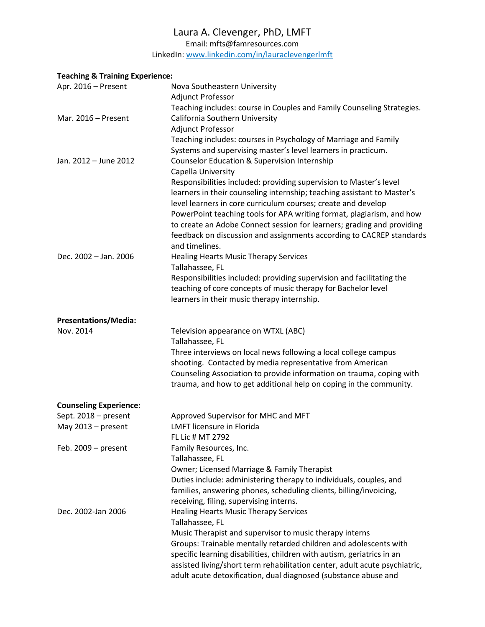## Laura A. Clevenger, PhD, LMFT

Email[: mfts@famresources.com](mailto:mfts@famresources.com)

LinkedIn: [www.linkedin.com/in/lauraclevengerlmft](http://www.linkedin.com/in/lauraclevengerlmft)

## **Teaching & Training Experience:**

| Apr. 2016 - Present           | Nova Southeastern University<br>Adjunct Professor                                                                                                                                                                                                                                                                                                                                                                                                                                 |
|-------------------------------|-----------------------------------------------------------------------------------------------------------------------------------------------------------------------------------------------------------------------------------------------------------------------------------------------------------------------------------------------------------------------------------------------------------------------------------------------------------------------------------|
| Mar. 2016 - Present           | Teaching includes: course in Couples and Family Counseling Strategies.<br>California Southern University<br>Adjunct Professor                                                                                                                                                                                                                                                                                                                                                     |
| Jan. 2012 - June 2012         | Teaching includes: courses in Psychology of Marriage and Family<br>Systems and supervising master's level learners in practicum.<br><b>Counselor Education &amp; Supervision Internship</b>                                                                                                                                                                                                                                                                                       |
|                               | Capella University<br>Responsibilities included: providing supervision to Master's level<br>learners in their counseling internship; teaching assistant to Master's<br>level learners in core curriculum courses; create and develop<br>PowerPoint teaching tools for APA writing format, plagiarism, and how<br>to create an Adobe Connect session for learners; grading and providing<br>feedback on discussion and assignments according to CACREP standards<br>and timelines. |
| Dec. 2002 - Jan. 2006         | <b>Healing Hearts Music Therapy Services</b>                                                                                                                                                                                                                                                                                                                                                                                                                                      |
|                               | Tallahassee, FL<br>Responsibilities included: providing supervision and facilitating the<br>teaching of core concepts of music therapy for Bachelor level<br>learners in their music therapy internship.                                                                                                                                                                                                                                                                          |
| <b>Presentations/Media:</b>   |                                                                                                                                                                                                                                                                                                                                                                                                                                                                                   |
| Nov. 2014                     | Television appearance on WTXL (ABC)<br>Tallahassee, FL<br>Three interviews on local news following a local college campus<br>shooting. Contacted by media representative from American<br>Counseling Association to provide information on trauma, coping with<br>trauma, and how to get additional help on coping in the community.                                                                                                                                              |
| <b>Counseling Experience:</b> |                                                                                                                                                                                                                                                                                                                                                                                                                                                                                   |
| Sept. 2018 - present          | Approved Supervisor for MHC and MFT                                                                                                                                                                                                                                                                                                                                                                                                                                               |
| May 2013 - present            | <b>LMFT</b> licensure in Florida<br>FL Lic # MT 2792                                                                                                                                                                                                                                                                                                                                                                                                                              |
| Feb. $2009 - present$         | Family Resources, Inc.<br>Tallahassee, FL<br>Owner; Licensed Marriage & Family Therapist<br>Duties include: administering therapy to individuals, couples, and<br>families, answering phones, scheduling clients, billing/invoicing,<br>receiving, filing, supervising interns.                                                                                                                                                                                                   |
| Dec. 2002-Jan 2006            | <b>Healing Hearts Music Therapy Services</b><br>Tallahassee, FL<br>Music Therapist and supervisor to music therapy interns<br>Groups: Trainable mentally retarded children and adolescents with<br>specific learning disabilities, children with autism, geriatrics in an<br>assisted living/short term rehabilitation center, adult acute psychiatric,<br>adult acute detoxification, dual diagnosed (substance abuse and                                                        |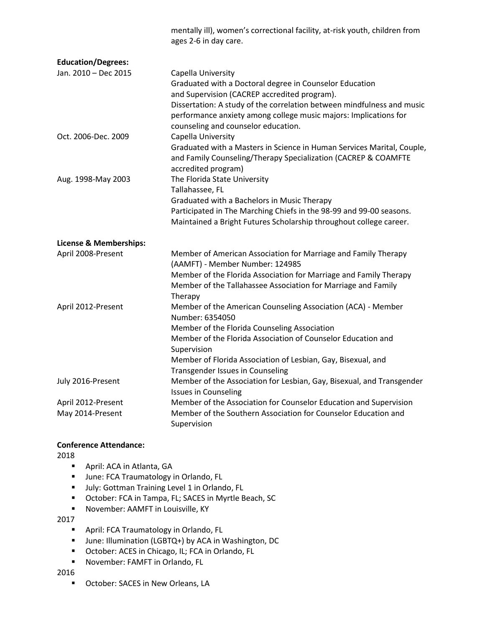|                                   | mentally ill), women's correctional facility, at-risk youth, children from<br>ages 2-6 in day care.                                                                                                                                                                                                                |
|-----------------------------------|--------------------------------------------------------------------------------------------------------------------------------------------------------------------------------------------------------------------------------------------------------------------------------------------------------------------|
| <b>Education/Degrees:</b>         |                                                                                                                                                                                                                                                                                                                    |
| Jan. 2010 - Dec 2015              | Capella University<br>Graduated with a Doctoral degree in Counselor Education<br>and Supervision (CACREP accredited program).<br>Dissertation: A study of the correlation between mindfulness and music<br>performance anxiety among college music majors: Implications for<br>counseling and counselor education. |
| Oct. 2006-Dec. 2009               | Capella University<br>Graduated with a Masters in Science in Human Services Marital, Couple,<br>and Family Counseling/Therapy Specialization (CACREP & COAMFTE<br>accredited program)                                                                                                                              |
| Aug. 1998-May 2003                | The Florida State University<br>Tallahassee, FL<br>Graduated with a Bachelors in Music Therapy<br>Participated in The Marching Chiefs in the 98-99 and 99-00 seasons.<br>Maintained a Bright Futures Scholarship throughout college career.                                                                        |
| <b>License &amp; Memberships:</b> |                                                                                                                                                                                                                                                                                                                    |
| April 2008-Present                | Member of American Association for Marriage and Family Therapy<br>(AAMFT) - Member Number: 124985<br>Member of the Florida Association for Marriage and Family Therapy<br>Member of the Tallahassee Association for Marriage and Family<br>Therapy                                                                 |
| April 2012-Present                | Member of the American Counseling Association (ACA) - Member<br>Number: 6354050<br>Member of the Florida Counseling Association<br>Member of the Florida Association of Counselor Education and<br>Supervision<br>Member of Florida Association of Lesbian, Gay, Bisexual, and<br>Transgender Issues in Counseling |
| July 2016-Present                 | Member of the Association for Lesbian, Gay, Bisexual, and Transgender<br><b>Issues in Counseling</b>                                                                                                                                                                                                               |
| April 2012-Present                | Member of the Association for Counselor Education and Supervision                                                                                                                                                                                                                                                  |
| May 2014-Present                  | Member of the Southern Association for Counselor Education and<br>Supervision                                                                                                                                                                                                                                      |

## **Conference Attendance:**

2018

- April: ACA in Atlanta, GA
- June: FCA Traumatology in Orlando, FL
- July: Gottman Training Level 1 in Orlando, FL
- October: FCA in Tampa, FL; SACES in Myrtle Beach, SC
- November: AAMFT in Louisville, KY

2017

- April: FCA Traumatology in Orlando, FL
- June: Illumination (LGBTQ+) by ACA in Washington, DC
- October: ACES in Chicago, IL; FCA in Orlando, FL
- November: FAMFT in Orlando, FL

2016

■ October: SACES in New Orleans, LA